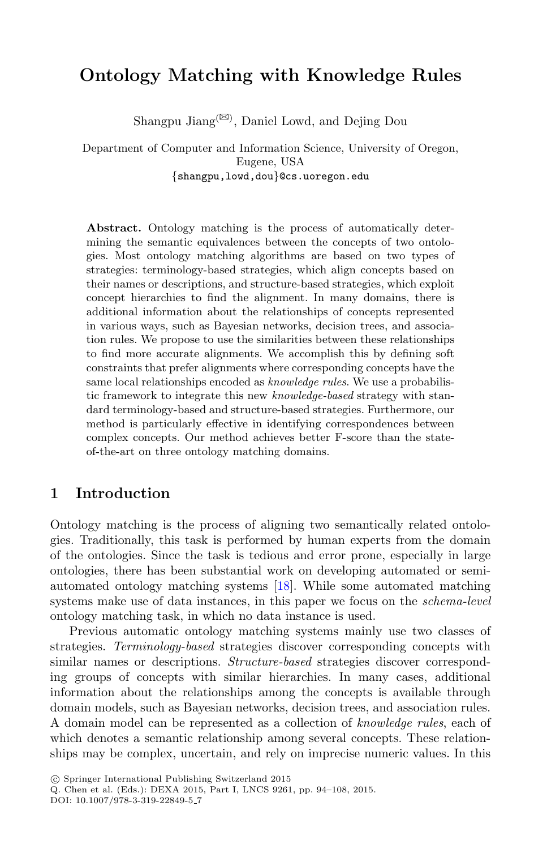# **Ontology Matching with Knowledge Rules**

Shangpu Jiang<sup>( $\boxtimes$ )</sup>, Daniel Lowd, and Dejing Dou

Department of Computer and Information Science, University of Oregon, Eugene, USA {shangpu,lowd,dou}@cs.uoregon.edu

**Abstract.** Ontology matching is the process of automatically determining the semantic equivalences between the concepts of two ontologies. Most ontology matching algorithms are based on two types of strategies: terminology-based strategies, which align concepts based on their names or descriptions, and structure-based strategies, which exploit concept hierarchies to find the alignment. In many domains, there is additional information about the relationships of concepts represented in various ways, such as Bayesian networks, decision trees, and association rules. We propose to use the similarities between these relationships to find more accurate alignments. We accomplish this by defining soft constraints that prefer alignments where corresponding concepts have the same local relationships encoded as *knowledge rules*. We use a probabilistic framework to integrate this new *knowledge-based* strategy with standard terminology-based and structure-based strategies. Furthermore, our method is particularly effective in identifying correspondences between complex concepts. Our method achieves better F-score than the stateof-the-art on three ontology matching domains.

#### **1 Introduction**

Ontology matching is the process of aligning two semantically related ontologies. Traditionally, this task is performed by human experts from the domain of the ontologies. Since the task is tedious and error prone, especially in large ontologies, there has been substantial work on developing automated or semiautomated ontology matching systems [\[18\]](#page-14-0). While some automated matching systems make use of data instances, in this paper we focus on the *schema-level* ontology matching task, in which no data instance is used.

Previous automatic ontology matching systems mainly use two classes of strategies. *Terminology-based* strategies discover corresponding concepts with similar names or descriptions. *Structure-based* strategies discover corresponding groups of concepts with similar hierarchies. In many cases, additional information about the relationships among the concepts is available through domain models, such as Bayesian networks, decision trees, and association rules. A domain model can be represented as a collection of *knowledge rules*, each of which denotes a semantic relationship among several concepts. These relationships may be complex, uncertain, and rely on imprecise numeric values. In this

<sup>-</sup>c Springer International Publishing Switzerland 2015

Q. Chen et al. (Eds.): DEXA 2015, Part I, LNCS 9261, pp. 94–108, 2015.

DOI: 10.1007/978-3-319-22849-5 7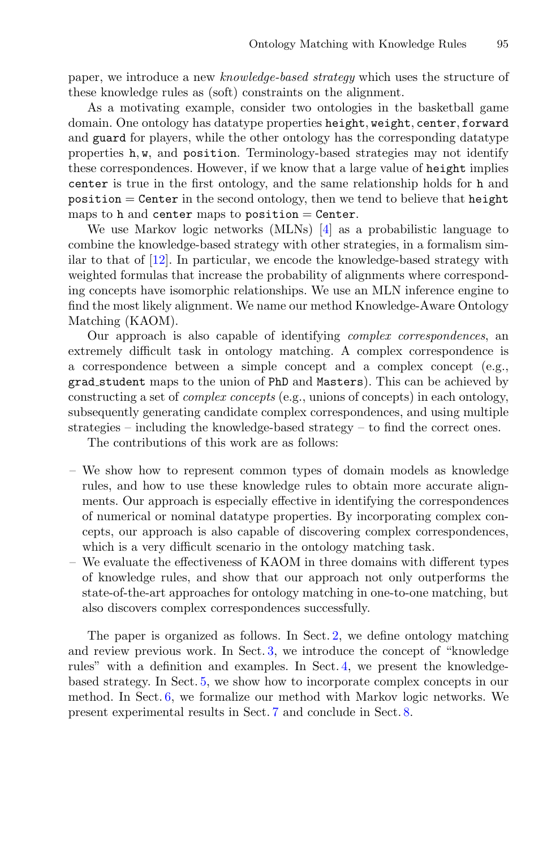paper, we introduce a new *knowledge-based strategy* which uses the structure of these knowledge rules as (soft) constraints on the alignment.

As a motivating example, consider two ontologies in the basketball game domain. One ontology has datatype properties height, weight, center, forward and guard for players, while the other ontology has the corresponding datatype properties h, w, and position. Terminology-based strategies may not identify these correspondences. However, if we know that a large value of height implies center is true in the first ontology, and the same relationship holds for h and  $position = Center in the second ontology, then we tend to believe that height$ maps to  $h$  and center maps to position  $=$  Center.

We use Markov logic networks (MLNs) [\[4](#page-14-1)] as a probabilistic language to combine the knowledge-based strategy with other strategies, in a formalism similar to that of [\[12\]](#page-14-2). In particular, we encode the knowledge-based strategy with weighted formulas that increase the probability of alignments where corresponding concepts have isomorphic relationships. We use an MLN inference engine to find the most likely alignment. We name our method Knowledge-Aware Ontology Matching (KAOM).

Our approach is also capable of identifying *complex correspondences*, an extremely difficult task in ontology matching. A complex correspondence is a correspondence between a simple concept and a complex concept (e.g., grad student maps to the union of PhD and Masters). This can be achieved by constructing a set of *complex concepts* (e.g., unions of concepts) in each ontology, subsequently generating candidate complex correspondences, and using multiple strategies – including the knowledge-based strategy – to find the correct ones.

The contributions of this work are as follows:

- We show how to represent common types of domain models as knowledge rules, and how to use these knowledge rules to obtain more accurate alignments. Our approach is especially effective in identifying the correspondences of numerical or nominal datatype properties. By incorporating complex concepts, our approach is also capable of discovering complex correspondences, which is a very difficult scenario in the ontology matching task.
- We evaluate the effectiveness of KAOM in three domains with different types of knowledge rules, and show that our approach not only outperforms the state-of-the-art approaches for ontology matching in one-to-one matching, but also discovers complex correspondences successfully.

The paper is organized as follows. In Sect. [2,](#page-2-0) we define ontology matching and review previous work. In Sect. [3,](#page-3-0) we introduce the concept of "knowledge rules" with a definition and examples. In Sect. [4,](#page-4-0) we present the knowledgebased strategy. In Sect. [5,](#page-7-0) we show how to incorporate complex concepts in our method. In Sect. [6,](#page-8-0) we formalize our method with Markov logic networks. We present experimental results in Sect. [7](#page-9-0) and conclude in Sect. [8.](#page-13-0)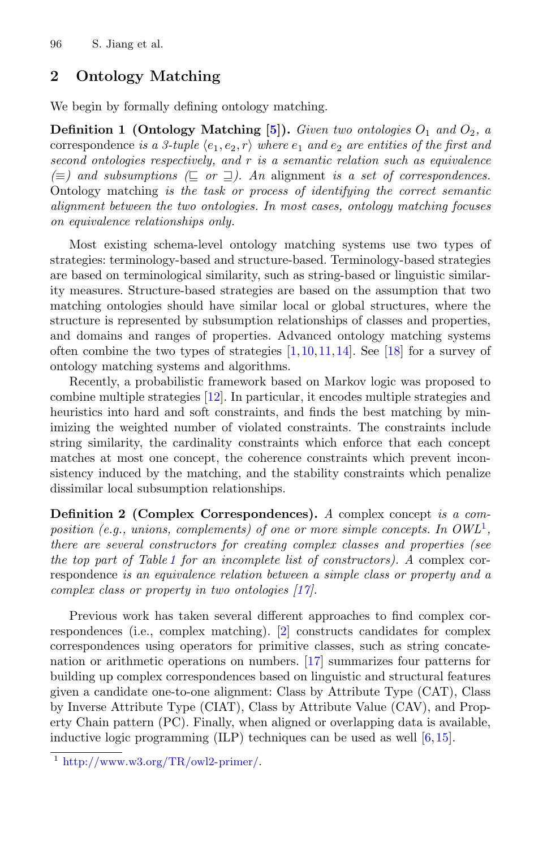## <span id="page-2-0"></span>**2 Ontology Matching**

We begin by formally defining ontology matching.

**Definition 1 (Ontology Matching**  $[5]$  $[5]$ **).** *Given two ontologies*  $O_1$  *and*  $O_2$ , *a* correspondence *is a 3-tuple*  $\langle e_1, e_2, r \rangle$  *where*  $e_1$  *and*  $e_2$  *are entities of the first and second ontologies respectively, and* r *is a semantic relation such as equivalence*  $(≡)$  and subsumptions  $(⊑ or ⊒).$  An alignment *is a set of correspondences.* Ontology matching *is the task or process of identifying the correct semantic alignment between the two ontologies. In most cases, ontology matching focuses on equivalence relationships only.*

Most existing schema-level ontology matching systems use two types of strategies: terminology-based and structure-based. Terminology-based strategies are based on terminological similarity, such as string-based or linguistic similarity measures. Structure-based strategies are based on the assumption that two matching ontologies should have similar local or global structures, where the structure is represented by subsumption relationships of classes and properties, and domains and ranges of properties. Advanced ontology matching systems often combine the two types of strategies  $[1,10,11,14]$  $[1,10,11,14]$  $[1,10,11,14]$  $[1,10,11,14]$  $[1,10,11,14]$ . See [\[18](#page-14-0)] for a survey of ontology matching systems and algorithms.

Recently, a probabilistic framework based on Markov logic was proposed to combine multiple strategies [\[12\]](#page-14-2). In particular, it encodes multiple strategies and heuristics into hard and soft constraints, and finds the best matching by minimizing the weighted number of violated constraints. The constraints include string similarity, the cardinality constraints which enforce that each concept matches at most one concept, the coherence constraints which prevent inconsistency induced by the matching, and the stability constraints which penalize dissimilar local subsumption relationships.

**Definition 2 (Complex Correspondences).** *A* complex concept *is a composition (e.g., unions, complements) of one or more simple concepts. In OWL*<sup>[1](#page-2-1)</sup>, *there are several constructors for creating complex classes and properties (see the top part of Table [1](#page-4-1) for an incomplete list of constructors). A* complex correspondence *is an equivalence relation between a simple class or property and a complex class or property in two ontologies [\[17\]](#page-14-7).*

Previous work has taken several different approaches to find complex correspondences (i.e., complex matching). [\[2](#page-13-2)] constructs candidates for complex correspondences using operators for primitive classes, such as string concatenation or arithmetic operations on numbers. [\[17](#page-14-7)] summarizes four patterns for building up complex correspondences based on linguistic and structural features given a candidate one-to-one alignment: Class by Attribute Type (CAT), Class by Inverse Attribute Type (CIAT), Class by Attribute Value (CAV), and Property Chain pattern (PC). Finally, when aligned or overlapping data is available, inductive logic programming (ILP) techniques can be used as well [\[6](#page-14-8)[,15](#page-14-9)].

<span id="page-2-1"></span> $1 \text{ http://www.w3.org/TR/owl2-primer/}.$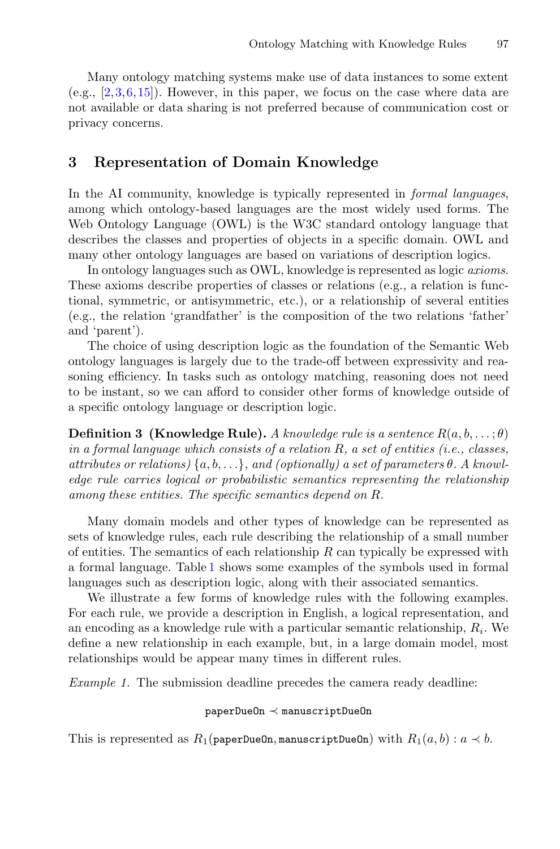Many ontology matching systems make use of data instances to some extent  $(e.g., [2,3,6,15])$  $(e.g., [2,3,6,15])$  $(e.g., [2,3,6,15])$  $(e.g., [2,3,6,15])$  $(e.g., [2,3,6,15])$  $(e.g., [2,3,6,15])$ . However, in this paper, we focus on the case where data are not available or data sharing is not preferred because of communication cost or privacy concerns.

#### <span id="page-3-0"></span>**3 Representation of Domain Knowledge**

In the AI community, knowledge is typically represented in *formal languages*, among which ontology-based languages are the most widely used forms. The Web Ontology Language (OWL) is the W3C standard ontology language that describes the classes and properties of objects in a specific domain. OWL and many other ontology languages are based on variations of description logics.

In ontology languages such as OWL, knowledge is represented as logic *axioms*. These axioms describe properties of classes or relations (e.g., a relation is functional, symmetric, or antisymmetric, etc.), or a relationship of several entities (e.g., the relation 'grandfather' is the composition of the two relations 'father' and 'parent').

The choice of using description logic as the foundation of the Semantic Web ontology languages is largely due to the trade-off between expressivity and reasoning efficiency. In tasks such as ontology matching, reasoning does not need to be instant, so we can afford to consider other forms of knowledge outside of a specific ontology language or description logic.

**Definition 3 (Knowledge Rule).** *A knowledge rule is a sentence*  $R(a, b, \ldots; \theta)$ *in a formal language which consists of a relation* R*, a set of entities (i.e., classes, attributes or relations)* {a, b, . . .}*, and (optionally) a set of parameters* <sup>θ</sup>*. A knowledge rule carries logical or probabilistic semantics representing the relationship among these entities. The specific semantics depend on* R*.*

Many domain models and other types of knowledge can be represented as sets of knowledge rules, each rule describing the relationship of a small number of entities. The semantics of each relationship  $R$  can typically be expressed with a formal language. Table [1](#page-4-1) shows some examples of the symbols used in formal languages such as description logic, along with their associated semantics.

We illustrate a few forms of knowledge rules with the following examples. For each rule, we provide a description in English, a logical representation, and an encoding as a knowledge rule with a particular semantic relationship, R*i*. We define a new relationship in each example, but, in a large domain model, most relationships would be appear many times in different rules.

*Example 1.* The submission deadline precedes the camera ready deadline:

#### <span id="page-3-2"></span>paperDueOn ≺ manuscriptDueOn

<span id="page-3-1"></span>This is represented as  $R_1$ (paperDueOn, manuscriptDueOn) with  $R_1(a, b)$ :  $a \prec b$ .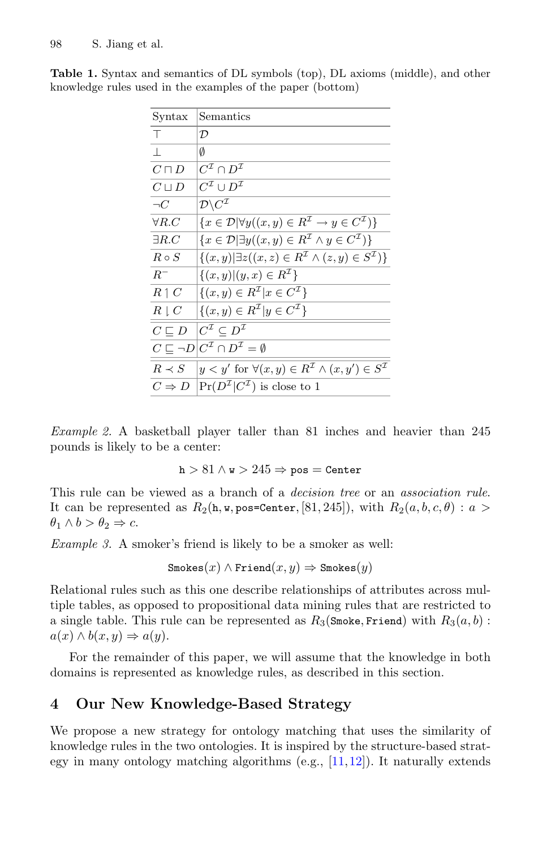| Syntax                  | Semantics                                                                                          |
|-------------------------|----------------------------------------------------------------------------------------------------|
| Τ                       | D                                                                                                  |
| 丄                       | Ø                                                                                                  |
| $C\sqcap D$             | $C^{\mathcal{I}}\cap D^{\mathcal{I}}$                                                              |
| $C \sqcup D$            | $C^\mathcal{I} \cup D^\mathcal{I}$                                                                 |
| $\neg C$                | $\mathcal{D}\backslash C^\mathcal{I}$                                                              |
| $\forall R.C$           | $\{x \in \mathcal{D}   \forall y((x, y) \in R^{\mathcal{I}} \rightarrow y \in C^{\mathcal{I}})\}\$ |
| $\exists R.C$           | $\{x \in \mathcal{D} \vert \exists y ((x, y) \in R^{\mathcal{I}} \land y \in C^{\mathcal{I}})\}\$  |
| $R \circ S$             | $\{(x,y) \exists z((x,z)\in R^{\mathcal{I}}\wedge(z,y)\in S^{\mathcal{I}})\}\$                     |
| $R^-$                   | $\{(x, y)   (y, x) \in R^{\mathcal{I}}\}\$                                                         |
| $R \upharpoonright C$   | $\{(x,y)\in R^{\mathcal{I}} x\in C^{\mathcal{I}}\}\$                                               |
| $R \downharpoonright C$ | $\{(x,y)\in R^{\mathcal{I}} y\in C^{\mathcal{I}}\}\$                                               |
| $C \sqsubseteq D$       | $C^{\mathcal{I}} \subset D^{\mathcal{I}}$                                                          |
| $C \sqsubset \neg D$    | $C^{\mathcal{I}} \cap D^{\mathcal{I}} = \emptyset$                                                 |
| $R \prec S$             | $y < y'$ for $\forall (x, y) \in R^{\mathcal{I}} \wedge (x, y') \in S^{\mathcal{I}}$               |
| $C \Rightarrow D$       | $Pr(D^{\mathcal{I}} C^{\mathcal{I}})$ is close to 1                                                |

<span id="page-4-1"></span>**Table 1.** Syntax and semantics of DL symbols (top), DL axioms (middle), and other knowledge rules used in the examples of the paper (bottom)

| <i>Example 2.</i> A basketball player taller than 81 inches and heavier than 245 |  |  |  |  |  |
|----------------------------------------------------------------------------------|--|--|--|--|--|
| pounds is likely to be a center:                                                 |  |  |  |  |  |

$$
\mathtt{h} > 81 \wedge \mathtt{w} > 245 \Rightarrow \mathtt{pos} = \mathtt{Center}
$$

This rule can be viewed as a branch of a *decision tree* or an *association rule*. It can be represented as  $R_2(h, w, pos=Center, [81, 245])$ , with  $R_2(a, b, c, \theta) : a >$  $\theta_1 \wedge b > \theta_2 \Rightarrow c.$ 

*Example 3.* A smoker's friend is likely to be a smoker as well:

$$
\mathrm{Smokes}(x) \wedge \mathrm{Friend}(x,y) \Rightarrow \mathrm{Smokes}(y)
$$

Relational rules such as this one describe relationships of attributes across multiple tables, as opposed to propositional data mining rules that are restricted to a single table. This rule can be represented as  $R_3(\text{Smoke}, \text{Friend})$  with  $R_3(a, b)$ :  $a(x) \wedge b(x, y) \Rightarrow a(y).$ 

For the remainder of this paper, we will assume that the knowledge in both domains is represented as knowledge rules, as described in this section.

## <span id="page-4-0"></span>**4 Our New Knowledge-Based Strategy**

We propose a new strategy for ontology matching that uses the similarity of knowledge rules in the two ontologies. It is inspired by the structure-based strategy in many ontology matching algorithms  $(e.g., [11,12])$  $(e.g., [11,12])$  $(e.g., [11,12])$  $(e.g., [11,12])$ . It naturally extends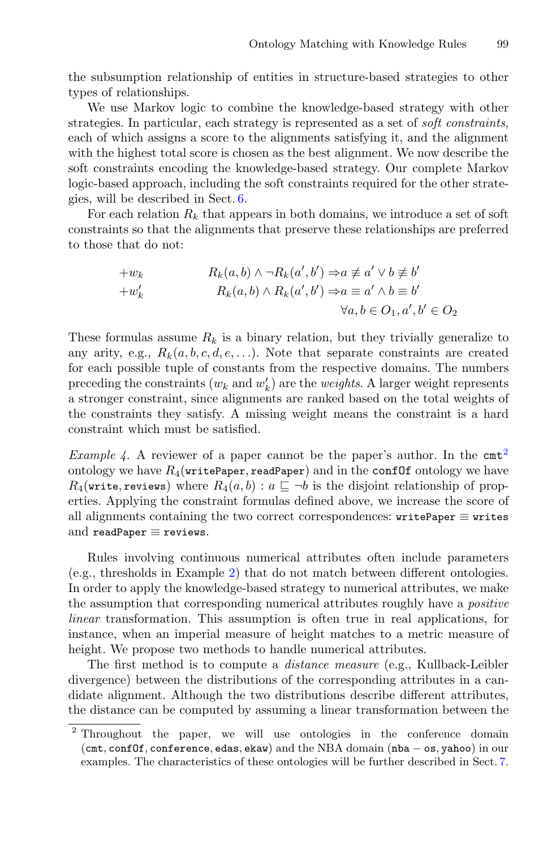the subsumption relationship of entities in structure-based strategies to other types of relationships.

We use Markov logic to combine the knowledge-based strategy with other strategies. In particular, each strategy is represented as a set of *soft constraints*, each of which assigns a score to the alignments satisfying it, and the alignment with the highest total score is chosen as the best alignment. We now describe the soft constraints encoding the knowledge-based strategy. Our complete Markov logic-based approach, including the soft constraints required for the other strategies, will be described in Sect. [6.](#page-8-0)

For each relation  $R_k$  that appears in both domains, we introduce a set of soft constraints so that the alignments that preserve these relationships are preferred to those that do not:

$$
+w_k \t R_k(a,b) \wedge \neg R_k(a',b') \Rightarrow a \not\equiv a' \vee b \not\equiv b'
$$
  
+w'\_k\t R\_k(a,b) \wedge R\_k(a',b') \Rightarrow a \equiv a' \wedge b \equiv b'  

$$
\forall a, b \in O_1, a', b' \in O_2
$$

These formulas assume  $R_k$  is a binary relation, but they trivially generalize to any arity, e.g.,  $R_k(a, b, c, d, e, \ldots)$ . Note that separate constraints are created for each possible tuple of constants from the respective domains. The numbers preceding the constraints  $(w_k \text{ and } w'_k)$  are the *weights*. A larger weight represents a stronger constraint, since alignments are ranked based on the total weights of the constraints they satisfy. A missing weight means the constraint is a hard constraint which must be satisfied.

<span id="page-5-1"></span>*Example 4.* A reviewer of a paper cannot be the paper's author. In the  $\text{cnt}^2$  $\text{cnt}^2$ ontology we have  $R_4$ (writePaper, readPaper) and in the confOf ontology we have  $R_4(\text{write}, \text{review})$  where  $R_4(a, b) : a \sqsubseteq \neg b$  is the disjoint relationship of properties. Applying the constraint formulas defined above, we increase the score of all alignments containing the two correct correspondences: writePaper  $\equiv$  writes and readPaper  $\equiv$  reviews.

Rules involving continuous numerical attributes often include parameters (e.g., thresholds in Example [2\)](#page-3-1) that do not match between different ontologies. In order to apply the knowledge-based strategy to numerical attributes, we make the assumption that corresponding numerical attributes roughly have a *positive linear* transformation. This assumption is often true in real applications, for instance, when an imperial measure of height matches to a metric measure of height. We propose two methods to handle numerical attributes.

The first method is to compute a *distance measure* (e.g., Kullback-Leibler divergence) between the distributions of the corresponding attributes in a candidate alignment. Although the two distributions describe different attributes, the distance can be computed by assuming a linear transformation between the

<span id="page-5-0"></span><sup>2</sup> Throughout the paper, we will use ontologies in the conference domain (cmt, confOf, conference, edas, ekaw) and the NBA domain (nba − os, yahoo) in our examples. The characteristics of these ontologies will be further described in Sect. [7.](#page-9-0)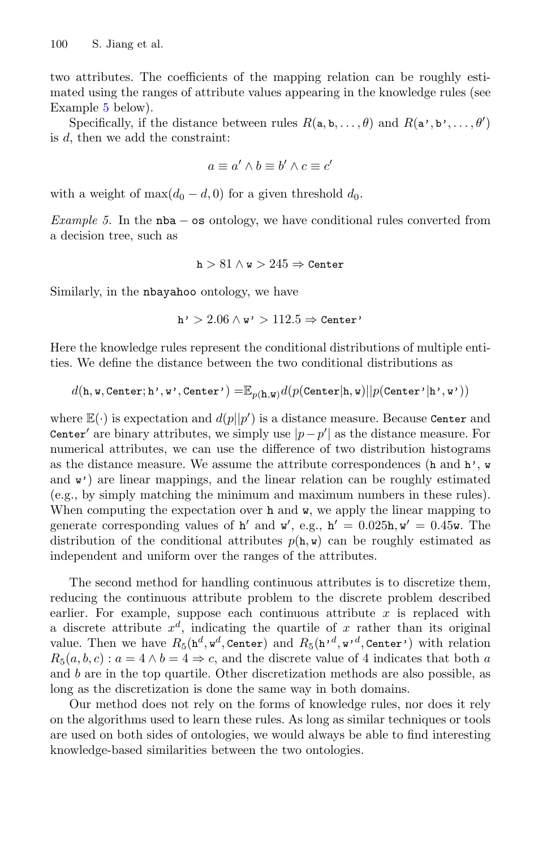two attributes. The coefficients of the mapping relation can be roughly estimated using the ranges of attribute values appearing in the knowledge rules (see Example [5](#page-6-0) below).

Specifically, if the distance between rules  $R(\mathsf{a},\mathsf{b},\ldots,\theta)$  and  $R(\mathsf{a'},\mathsf{b'},\ldots,\theta')$ is d, then we add the constraint:

$$
a \equiv a' \land b \equiv b' \land c \equiv c'
$$

<span id="page-6-0"></span>with a weight of max $(d_0 - d, 0)$  for a given threshold  $d_0$ .

*Example 5.* In the nba – os ontology, we have conditional rules converted from a decision tree, such as

$$
\mathtt{h} > 81 \land \mathtt{w} > 245 \Rightarrow \mathtt{Center}
$$

Similarly, in the nbayahoo ontology, we have

$$
h' > 2.06 \land w' > 112.5 \Rightarrow Center'
$$

Here the knowledge rules represent the conditional distributions of multiple entities. We define the distance between the two conditional distributions as

$$
d(\mathtt{h}, \mathtt{w}, \mathtt{Center}; \mathtt{h'}, \mathtt{w'}, \mathtt{Center'}) = \!\mathbb{E}_{p(\mathtt{h}, \mathtt{w})} d(p(\mathtt{Center}|\mathtt{h}, \mathtt{w}) || p(\mathtt{Center}|\mathtt{h'}, \mathtt{w'}))
$$

where  $\mathbb{E}(\cdot)$  is expectation and  $d(p||p')$  is a distance measure. Because Center and Center' are binary attributes, we simply use  $|p-p'|$  as the distance measure. For numerical attributes, we can use the difference of two distribution histograms as the distance measure. We assume the attribute correspondences (h and h',  $\bf{w}$ and  $\mathbf{w}'$  are linear mappings, and the linear relation can be roughly estimated (e.g., by simply matching the minimum and maximum numbers in these rules). When computing the expectation over **h** and **w**, we apply the linear mapping to generate corresponding values of h' and  $\mathbf{w}'$ , e.g.,  $\mathbf{h}' = 0.025\mathbf{h}, \mathbf{w}' = 0.45\mathbf{w}$ . The distribution of the conditional attributes  $p(\mathbf{h}, \mathbf{w})$  can be roughly estimated as independent and uniform over the ranges of the attributes.

The second method for handling continuous attributes is to discretize them, reducing the continuous attribute problem to the discrete problem described earlier. For example, suppose each continuous attribute  $x$  is replaced with a discrete attribute  $x^d$ , indicating the quartile of x rather than its original value. Then we have  $R_5(\mathbf{h}^d, \mathbf{w}^d, \text{Center})$  and  $R_5(\mathbf{h}^d, \mathbf{w}^d, \text{Center'})$  with relation  $R_5(a, b, c)$ :  $a = 4 \wedge b = 4 \Rightarrow c$ , and the discrete value of 4 indicates that both a and b are in the top quartile. Other discretization methods are also possible, as long as the discretization is done the same way in both domains.

Our method does not rely on the forms of knowledge rules, nor does it rely on the algorithms used to learn these rules. As long as similar techniques or tools are used on both sides of ontologies, we would always be able to find interesting knowledge-based similarities between the two ontologies.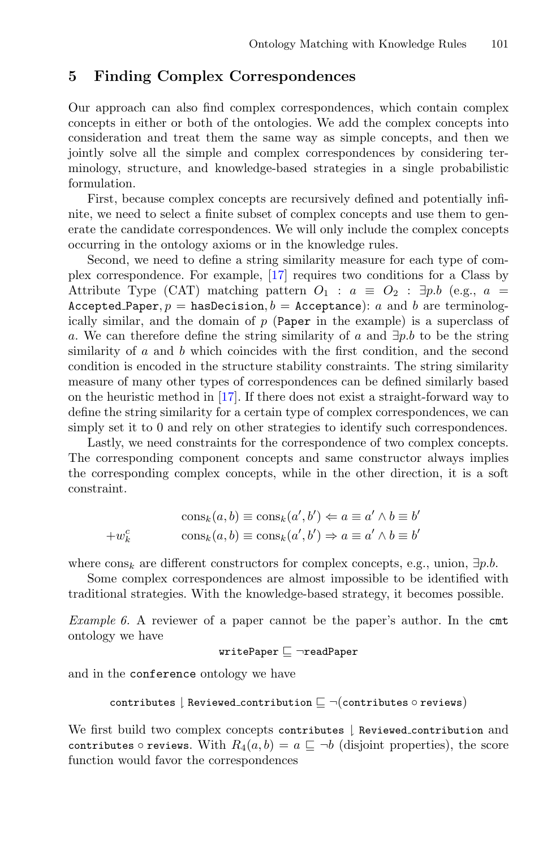## <span id="page-7-0"></span>**5 Finding Complex Correspondences**

Our approach can also find complex correspondences, which contain complex concepts in either or both of the ontologies. We add the complex concepts into consideration and treat them the same way as simple concepts, and then we jointly solve all the simple and complex correspondences by considering terminology, structure, and knowledge-based strategies in a single probabilistic formulation.

First, because complex concepts are recursively defined and potentially infinite, we need to select a finite subset of complex concepts and use them to generate the candidate correspondences. We will only include the complex concepts occurring in the ontology axioms or in the knowledge rules.

Second, we need to define a string similarity measure for each type of complex correspondence. For example, [\[17](#page-14-7)] requires two conditions for a Class by Attribute Type (CAT) matching pattern  $O_1$ :  $a \equiv O_2$ :  $\exists p.b$  (e.g.,  $a =$ Accepted Paper,  $p =$  hasDecision,  $b =$  Acceptance): a and b are terminologically similar, and the domain of  $p$  (Paper in the example) is a superclass of a. We can therefore define the string similarity of a and  $\exists p.b$  to be the string similarity of a and b which coincides with the first condition, and the second condition is encoded in the structure stability constraints. The string similarity measure of many other types of correspondences can be defined similarly based on the heuristic method in [\[17\]](#page-14-7). If there does not exist a straight-forward way to define the string similarity for a certain type of complex correspondences, we can simply set it to 0 and rely on other strategies to identify such correspondences.

Lastly, we need constraints for the correspondence of two complex concepts. The corresponding component concepts and same constructor always implies the corresponding complex concepts, while in the other direction, it is a soft constraint.

$$
\begin{aligned}\n\text{cons}_k(a, b) &\equiv \text{cons}_k(a', b') \Leftarrow a \equiv a' \land b \equiv b' \\
\text{cons}_k(a, b) &\equiv \text{cons}_k(a', b') \Rightarrow a \equiv a' \land b \equiv b'\n\end{aligned}
$$

where  $\text{cons}_k$  are different constructors for complex concepts, e.g., union,  $\exists p.b$ .

Some complex correspondences are almost impossible to be identified with traditional strategies. With the knowledge-based strategy, it becomes possible.

*Example 6.* A reviewer of a paper cannot be the paper's author. In the cmt ontology we have

 $writePaper \sqsubseteq \neg readPaper$ 

and in the conference ontology we have

```
contributes | Reviewed_contribution \sqsubseteq \neg(\text{contributes} \circ \text{reviews})
```
We first build two complex concepts contributes | Reviewed contribution and contributes  $\circ$  reviews. With  $R_4(a, b) = a \sqsubseteq \neg b$  (disjoint properties), the score function would favor the correspondences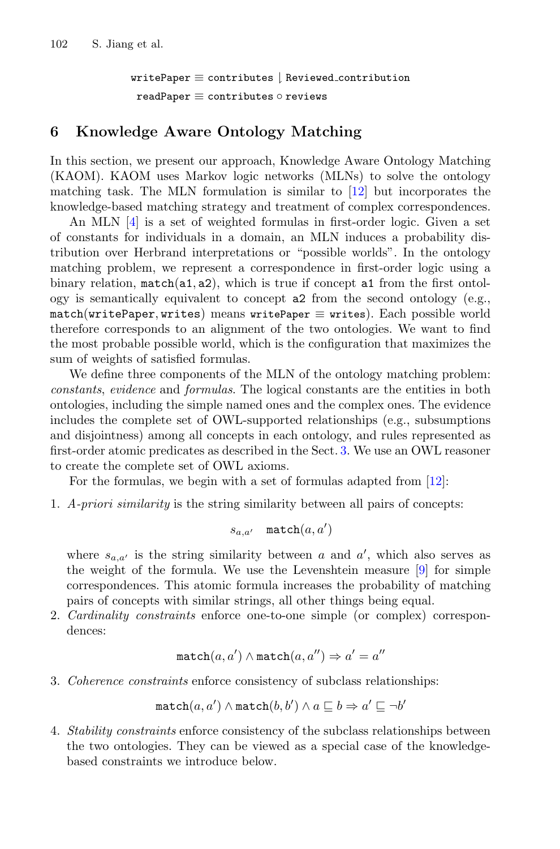$writePaper \equiv$  contributes  $|$  Reviewed\_contribution readPaper ≡ contributes ◦ reviews

## <span id="page-8-0"></span>**6 Knowledge Aware Ontology Matching**

In this section, we present our approach, Knowledge Aware Ontology Matching (KAOM). KAOM uses Markov logic networks (MLNs) to solve the ontology matching task. The MLN formulation is similar to [\[12](#page-14-2)] but incorporates the knowledge-based matching strategy and treatment of complex correspondences.

An MLN [\[4\]](#page-14-1) is a set of weighted formulas in first-order logic. Given a set of constants for individuals in a domain, an MLN induces a probability distribution over Herbrand interpretations or "possible worlds". In the ontology matching problem, we represent a correspondence in first-order logic using a binary relation, match(a1, a2), which is true if concept a1 from the first ontology is semantically equivalent to concept  $a2$  from the second ontology (e.g., match(writePaper, writes) means writePaper  $\equiv$  writes). Each possible world therefore corresponds to an alignment of the two ontologies. We want to find the most probable possible world, which is the configuration that maximizes the sum of weights of satisfied formulas.

We define three components of the MLN of the ontology matching problem: *constants*, *evidence* and *formulas*. The logical constants are the entities in both ontologies, including the simple named ones and the complex ones. The evidence includes the complete set of OWL-supported relationships (e.g., subsumptions and disjointness) among all concepts in each ontology, and rules represented as first-order atomic predicates as described in the Sect. [3.](#page-3-0) We use an OWL reasoner to create the complete set of OWL axioms.

For the formulas, we begin with a set of formulas adapted from [\[12\]](#page-14-2):

1. *A-priori similarity* is the string similarity between all pairs of concepts:

$$
s_{a,a'} \quad \mathtt{match}(a,a')
$$

where  $s_{a,a'}$  is the string similarity between a and  $a'$ , which also serves as the weight of the formula. We use the Levenshtein measure [\[9\]](#page-14-11) for simple correspondences. This atomic formula increases the probability of matching pairs of concepts with similar strings, all other things being equal.

2. *Cardinality constraints* enforce one-to-one simple (or complex) correspondences:

$$
\mathtt{match}(a,a') \land \mathtt{match}(a,a'') \Rightarrow a' = a''
$$

3. *Coherence constraints* enforce consistency of subclass relationships:

$$
\mathtt{match}(a,a') \wedge \mathtt{match}(b,b') \wedge a \sqsubseteq b \Rightarrow a' \sqsubseteq \neg b'
$$

4. *Stability constraints* enforce consistency of the subclass relationships between the two ontologies. They can be viewed as a special case of the knowledgebased constraints we introduce below.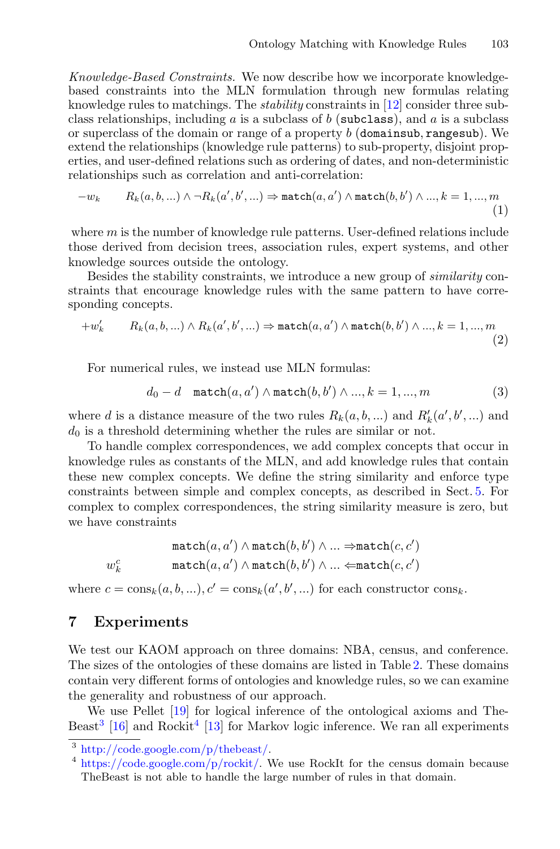*Knowledge-Based Constraints.* We now describe how we incorporate knowledgebased constraints into the MLN formulation through new formulas relating knowledge rules to matchings. The *stability* constraints in [\[12](#page-14-2)] consider three subclass relationships, including  $a$  is a subclass of  $b$  (subclass), and  $a$  is a subclass or superclass of the domain or range of a property  $b$  (domainsub, rangesub). We extend the relationships (knowledge rule patterns) to sub-property, disjoint properties, and user-defined relations such as ordering of dates, and non-deterministic relationships such as correlation and anti-correlation:

$$
-w_k \qquad R_k(a, b, \ldots) \wedge \neg R_k(a', b', \ldots) \Rightarrow \text{match}(a, a') \wedge \text{match}(b, b') \wedge \ldots, k = 1, \ldots, m
$$
\n(1)

where  $m$  is the number of knowledge rule patterns. User-defined relations include those derived from decision trees, association rules, expert systems, and other knowledge sources outside the ontology.

Besides the stability constraints, we introduce a new group of *similarity* constraints that encourage knowledge rules with the same pattern to have corresponding concepts.

$$
+w'_{k} \qquad R_{k}(a,b,...) \wedge R_{k}(a',b',...)\Rightarrow \text{match}(a,a') \wedge \text{match}(b,b') \wedge ..., k=1,...,m
$$
\n(2)

<span id="page-9-3"></span>For numerical rules, we instead use MLN formulas:

$$
d_0 - d \quad \text{match}(a, a') \land \text{match}(b, b') \land \dots, k = 1, \dots, m \tag{3}
$$

where d is a distance measure of the two rules  $R_k(a, b, \ldots)$  and  $R'_k(a', b', \ldots)$  and  $d_0$  is a threshold determining whether the rules are similar or not.

To handle complex correspondences, we add complex concepts that occur in knowledge rules as constants of the MLN, and add knowledge rules that contain these new complex concepts. We define the string similarity and enforce type constraints between simple and complex concepts, as described in Sect. [5.](#page-7-0) For complex to complex correspondences, the string similarity measure is zero, but we have constraints

$$
\begin{aligned} \texttt{match}(a,a') \wedge \texttt{match}(b,b') \wedge ... \Rightarrow \texttt{match}(c,c') \\ w_k^c \qquad \qquad \texttt{match}(a,a') \wedge \texttt{match}(b,b') \wedge ... \Leftarrow \texttt{match}(c,c') \end{aligned}
$$

where  $c = \text{cons}_k(a, b, \ldots), c' = \text{cons}_k(a', b', \ldots)$  for each constructor  $\text{cons}_k$ .

## <span id="page-9-0"></span>**7 Experiments**

We test our KAOM approach on three domains: NBA, census, and conference. The sizes of the ontologies of these domains are listed in Table [2.](#page-10-0) These domains contain very different forms of ontologies and knowledge rules, so we can examine the generality and robustness of our approach.

We use Pellet  $[19]$  $[19]$  for logical inference of the ontological axioms and The-Beast<sup>[3](#page-9-1)</sup> [\[16](#page-14-13)] and Rockit<sup>[4](#page-9-2)</sup> [\[13\]](#page-14-14) for Markov logic inference. We ran all experiments

<span id="page-9-2"></span><span id="page-9-1"></span><sup>3</sup> [http://code.google.com/p/thebeast/.](http://code.google.com/p/thebeast/)

 $4 \text{ https://code.google.com/p/rockit/}$ . We use RockIt for the census domain because TheBeast is not able to handle the large number of rules in that domain.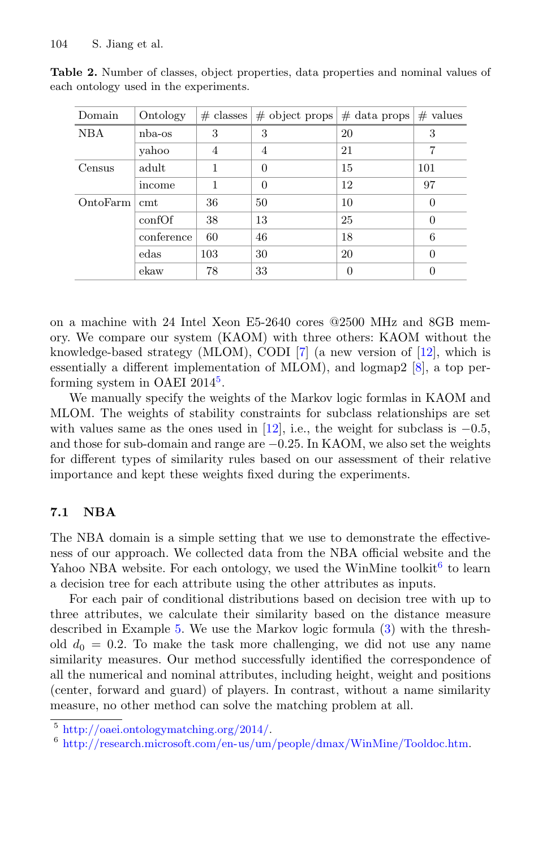| Domain   | Ontology   | $\#$ classes | $\#$ object props $\#$ data props $\#$ values |          |          |
|----------|------------|--------------|-----------------------------------------------|----------|----------|
| NBA      | $nba$ -os  | 3            | 3                                             | 20       | 3        |
|          | yahoo      | 4            | $\overline{4}$                                | 21       | 7        |
| Census   | adult      | 1            | $\theta$                                      | 15       | 101      |
|          | income     |              | $\theta$                                      | 12       | 97       |
| OntoFarm | cmt        | 36           | 50                                            | 10       | $\theta$ |
|          | confOf     | 38           | 13                                            | 25       | $\Omega$ |
|          | conference | 60           | 46                                            | 18       | 6        |
|          | edas       | 103          | 30                                            | 20       | $\Omega$ |
|          | ekaw       | 78           | 33                                            | $\Omega$ | 0        |

<span id="page-10-0"></span>**Table 2.** Number of classes, object properties, data properties and nominal values of each ontology used in the experiments.

on a machine with 24 Intel Xeon E5-2640 cores @2500 MHz and 8GB memory. We compare our system (KAOM) with three others: KAOM without the knowledge-based strategy (MLOM), CODI [\[7\]](#page-14-15) (a new version of [\[12\]](#page-14-2), which is essentially a different implementation of MLOM), and logmap2 [\[8](#page-14-16)], a top performing system in OAEI  $2014^5$  $2014^5$ .

We manually specify the weights of the Markov logic formlas in KAOM and MLOM. The weights of stability constraints for subclass relationships are set with values same as the ones used in [\[12\]](#page-14-2), i.e., the weight for subclass is  $-0.5$ , and those for sub-domain and range are <sup>−</sup>0.25. In KAOM, we also set the weights for different types of similarity rules based on our assessment of their relative importance and kept these weights fixed during the experiments.

## **7.1 NBA**

The NBA domain is a simple setting that we use to demonstrate the effectiveness of our approach. We collected data from the NBA official website and the Yahoo NBA website. For each ontology, we used the WinMine toolkit<sup>[6](#page-10-2)</sup> to learn a decision tree for each attribute using the other attributes as inputs.

For each pair of conditional distributions based on decision tree with up to three attributes, we calculate their similarity based on the distance measure described in Example [5.](#page-6-0) We use the Markov logic formula [\(3\)](#page-9-3) with the threshold  $d_0 = 0.2$ . To make the task more challenging, we did not use any name similarity measures. Our method successfully identified the correspondence of all the numerical and nominal attributes, including height, weight and positions (center, forward and guard) of players. In contrast, without a name similarity measure, no other method can solve the matching problem at all.

<span id="page-10-1"></span> $5 \text{ http://oaei.ontologymatching.org/2014/}.$ 

<span id="page-10-2"></span><sup>6</sup> [http://research.microsoft.com/en-us/um/people/dmax/WinMine/Tooldoc.htm.](http://research.microsoft.com/en-us/um/people/dmax/WinMine/Tooldoc.htm)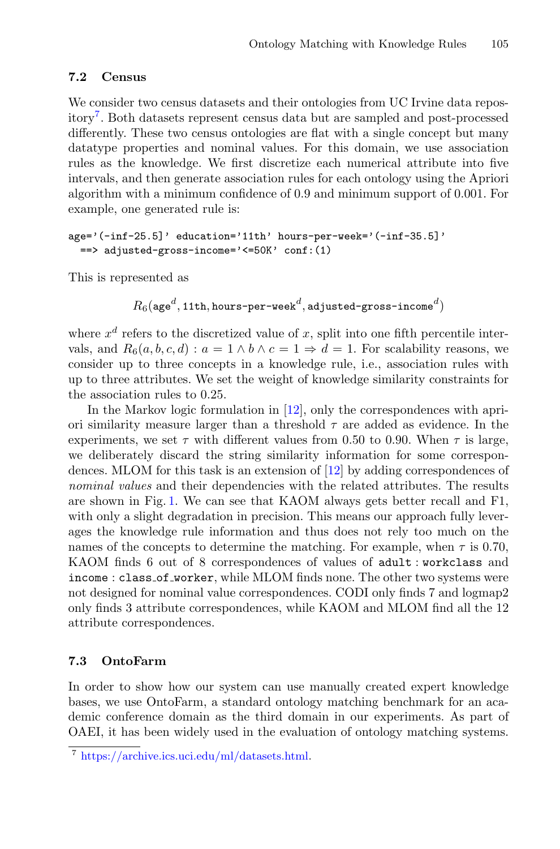#### **7.2 Census**

We consider two census datasets and their ontologies from UC Irvine data repository[7](#page-11-0). Both datasets represent census data but are sampled and post-processed differently. These two census ontologies are flat with a single concept but many datatype properties and nominal values. For this domain, we use association rules as the knowledge. We first discretize each numerical attribute into five intervals, and then generate association rules for each ontology using the Apriori algorithm with a minimum confidence of 0.9 and minimum support of 0.001. For example, one generated rule is:

```
age='(-inf-25.5]' education='11th' hours-per-week='(-inf-35.5]'
  ==> adjusted-gross-income='<=50K' conf:(1)
```
This is represented as

```
R_6(\mathsf{age}^d, \mathtt{11th}, \mathtt{hours-per-week}^d, \mathtt{adjusted-gross-income}^d)
```
where  $x<sup>d</sup>$  refers to the discretized value of x, split into one fifth percentile intervals, and  $R_6(a, b, c, d)$ :  $a = 1 \wedge b \wedge c = 1 \Rightarrow d = 1$ . For scalability reasons, we consider up to three concepts in a knowledge rule, i.e., association rules with up to three attributes. We set the weight of knowledge similarity constraints for the association rules to 0.25.

In the Markov logic formulation in [\[12](#page-14-2)], only the correspondences with apriori similarity measure larger than a threshold  $\tau$  are added as evidence. In the experiments, we set  $\tau$  with different values from 0.50 to 0.90. When  $\tau$  is large, we deliberately discard the string similarity information for some correspondences. MLOM for this task is an extension of [\[12](#page-14-2)] by adding correspondences of *nominal values* and their dependencies with the related attributes. The results are shown in Fig. [1.](#page-12-0) We can see that KAOM always gets better recall and F1, with only a slight degradation in precision. This means our approach fully leverages the knowledge rule information and thus does not rely too much on the names of the concepts to determine the matching. For example, when  $\tau$  is 0.70, KAOM finds 6 out of 8 correspondences of values of adult : workclass and income : class of worker, while MLOM finds none. The other two systems were not designed for nominal value correspondences. CODI only finds 7 and logmap2 only finds 3 attribute correspondences, while KAOM and MLOM find all the 12 attribute correspondences.

## **7.3 OntoFarm**

In order to show how our system can use manually created expert knowledge bases, we use OntoFarm, a standard ontology matching benchmark for an academic conference domain as the third domain in our experiments. As part of OAEI, it has been widely used in the evaluation of ontology matching systems.

<span id="page-11-0"></span><sup>7</sup> [https://archive.ics.uci.edu/ml/datasets.html.](https://archive.ics.uci.edu/ml/datasets.html)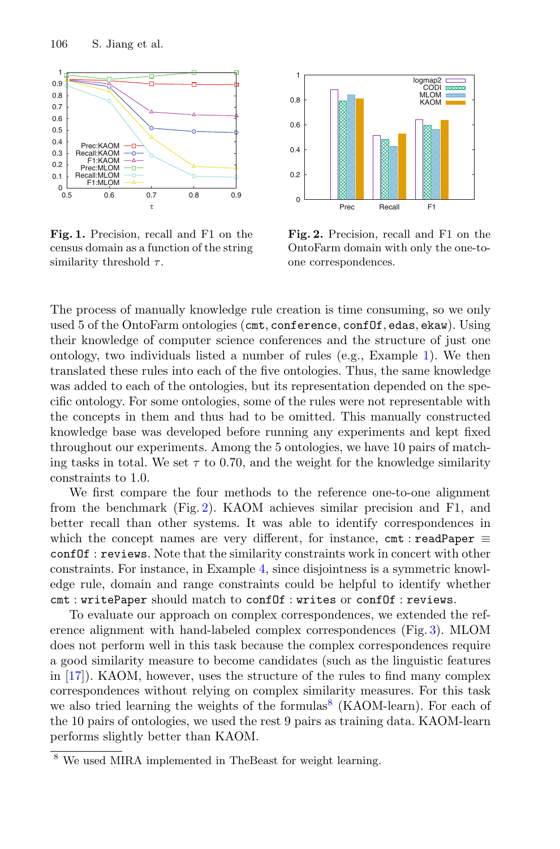

<span id="page-12-0"></span>**Fig. 1.** Precision, recall and F1 on the census domain as a function of the string similarity threshold  $\tau$ .



<span id="page-12-1"></span>**Fig. 2.** Precision, recall and F1 on the OntoFarm domain with only the one-toone correspondences.

The process of manually knowledge rule creation is time consuming, so we only used 5 of the OntoFarm ontologies (cmt, conference, confOf, edas, ekaw). Using their knowledge of computer science conferences and the structure of just one ontology, two individuals listed a number of rules (e.g., Example [1\)](#page-3-2). We then translated these rules into each of the five ontologies. Thus, the same knowledge was added to each of the ontologies, but its representation depended on the specific ontology. For some ontologies, some of the rules were not representable with the concepts in them and thus had to be omitted. This manually constructed knowledge base was developed before running any experiments and kept fixed throughout our experiments. Among the 5 ontologies, we have 10 pairs of matching tasks in total. We set  $\tau$  to 0.70, and the weight for the knowledge similarity constraints to 1.0.

We first compare the four methods to the reference one-to-one alignment from the benchmark (Fig. [2\)](#page-12-1). KAOM achieves similar precision and F1, and better recall than other systems. It was able to identify correspondences in which the concept names are very different, for instance, cmt : readPaper  $\equiv$ confOf : reviews. Note that the similarity constraints work in concert with other constraints. For instance, in Example [4,](#page-5-1) since disjointness is a symmetric knowledge rule, domain and range constraints could be helpful to identify whether cmt : writePaper should match to confOf : writes or confOf : reviews.

To evaluate our approach on complex correspondences, we extended the reference alignment with hand-labeled complex correspondences (Fig. [3\)](#page-13-3). MLOM does not perform well in this task because the complex correspondences require a good similarity measure to become candidates (such as the linguistic features in [\[17\]](#page-14-7)). KAOM, however, uses the structure of the rules to find many complex correspondences without relying on complex similarity measures. For this task we also tried learning the weights of the formulas<sup>[8](#page-12-2)</sup> (KAOM-learn). For each of the 10 pairs of ontologies, we used the rest 9 pairs as training data. KAOM-learn performs slightly better than KAOM.

<span id="page-12-2"></span><sup>8</sup> We used MIRA implemented in TheBeast for weight learning.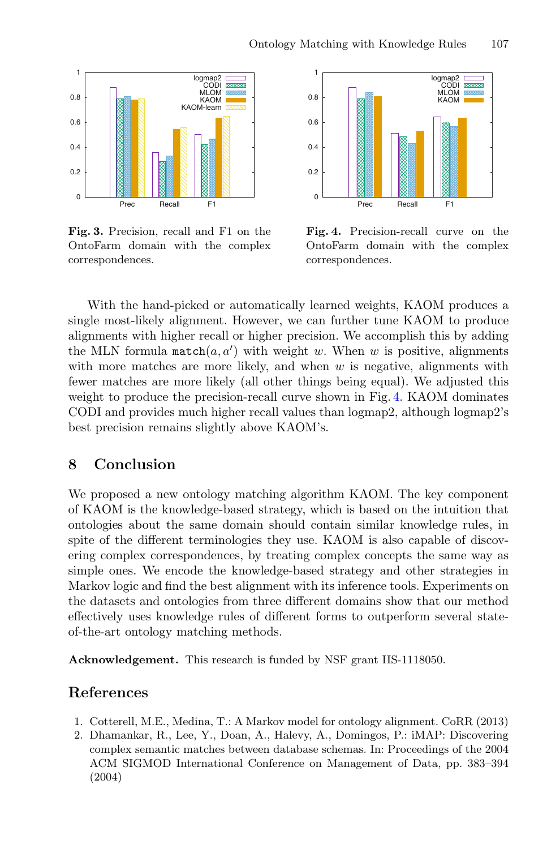

<span id="page-13-3"></span>**Fig. 3.** Precision, recall and F1 on the OntoFarm domain with the complex correspondences.



<span id="page-13-4"></span>**Fig. 4.** Precision-recall curve on the OntoFarm domain with the complex correspondences.

With the hand-picked or automatically learned weights, KAOM produces a single most-likely alignment. However, we can further tune KAOM to produce alignments with higher recall or higher precision. We accomplish this by adding the MLN formula  $match(a, a')$  with weight w. When w is positive, alignments with more matches are more likely, and when  $w$  is negative, alignments with fewer matches are more likely (all other things being equal). We adjusted this weight to produce the precision-recall curve shown in Fig. [4.](#page-13-4) KAOM dominates CODI and provides much higher recall values than logmap2, although logmap2's best precision remains slightly above KAOM's.

## <span id="page-13-0"></span>**8 Conclusion**

We proposed a new ontology matching algorithm KAOM. The key component of KAOM is the knowledge-based strategy, which is based on the intuition that ontologies about the same domain should contain similar knowledge rules, in spite of the different terminologies they use. KAOM is also capable of discovering complex correspondences, by treating complex concepts the same way as simple ones. We encode the knowledge-based strategy and other strategies in Markov logic and find the best alignment with its inference tools. Experiments on the datasets and ontologies from three different domains show that our method effectively uses knowledge rules of different forms to outperform several stateof-the-art ontology matching methods.

**Acknowledgement.** This research is funded by NSF grant IIS-1118050.

## <span id="page-13-1"></span>**References**

- 1. Cotterell, M.E., Medina, T.: A Markov model for ontology alignment. CoRR (2013)
- <span id="page-13-2"></span>2. Dhamankar, R., Lee, Y., Doan, A., Halevy, A., Domingos, P.: iMAP: Discovering complex semantic matches between database schemas. In: Proceedings of the 2004 ACM SIGMOD International Conference on Management of Data, pp. 383–394 (2004)